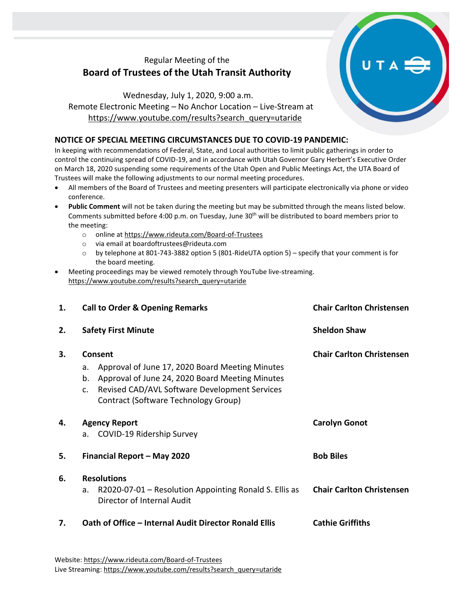## Regular Meeting of the **Board of Trustees of the Utah Transit Authority**

Wednesday, July 1, 2020, 9:00 a.m. Remote Electronic Meeting – No Anchor Location – Live-Stream at [https://www.youtube.com/results?search\\_query=utaride](https://www.youtube.com/results?search_query=utaride)

## **NOTICE OF SPECIAL MEETING CIRCUMSTANCES DUE TO COVID-19 PANDEMIC:**

In keeping with recommendations of Federal, State, and Local authorities to limit public gatherings in order to control the continuing spread of COVID-19, and in accordance with Utah Governor Gary Herbert's Executive Order on March 18, 2020 suspending some requirements of the Utah Open and Public Meetings Act, the UTA Board of Trustees will make the following adjustments to our normal meeting procedures.

- All members of the Board of Trustees and meeting presenters will participate electronically via phone or video conference.
- **Public Comment** will not be taken during the meeting but may be submitted through the means listed below. Comments submitted before 4:00 p.m. on Tuesday, June 30<sup>th</sup> will be distributed to board members prior to the meeting:
	- o online at<https://www.rideuta.com/Board-of-Trustees>
	- o via email at [boardoftrustees@rideuta.com](mailto:boardoftrustees@rideuta.com)
	- o by telephone at 801-743-3882 option 5 (801-RideUTA option 5) specify that your comment is for the board meeting.
- Meeting proceedings may be viewed remotely through YouTube live-streaming. [https://www.youtube.com/results?search\\_query=utaride](https://www.youtube.com/results?search_query=utaride)

| 1. | <b>Call to Order &amp; Opening Remarks</b>                                                                                                                                                                               | <b>Chair Carlton Christensen</b><br><b>Sheldon Shaw</b><br><b>Chair Carlton Christensen</b> |
|----|--------------------------------------------------------------------------------------------------------------------------------------------------------------------------------------------------------------------------|---------------------------------------------------------------------------------------------|
| 2. | <b>Safety First Minute</b>                                                                                                                                                                                               |                                                                                             |
| 3. | Consent<br>Approval of June 17, 2020 Board Meeting Minutes<br>a.<br>Approval of June 24, 2020 Board Meeting Minutes<br>b.<br>Revised CAD/AVL Software Development Services<br>c.<br>Contract (Software Technology Group) |                                                                                             |
| 4. | <b>Agency Report</b><br>COVID-19 Ridership Survey<br>a.                                                                                                                                                                  | <b>Carolyn Gonot</b>                                                                        |
| 5. | Financial Report - May 2020                                                                                                                                                                                              | <b>Bob Biles</b>                                                                            |
| 6. | <b>Resolutions</b><br>R2020-07-01 - Resolution Appointing Ronald S. Ellis as<br>a.<br>Director of Internal Audit                                                                                                         | <b>Chair Carlton Christensen</b>                                                            |
| 7. | Oath of Office - Internal Audit Director Ronald Ellis                                                                                                                                                                    | <b>Cathie Griffiths</b>                                                                     |